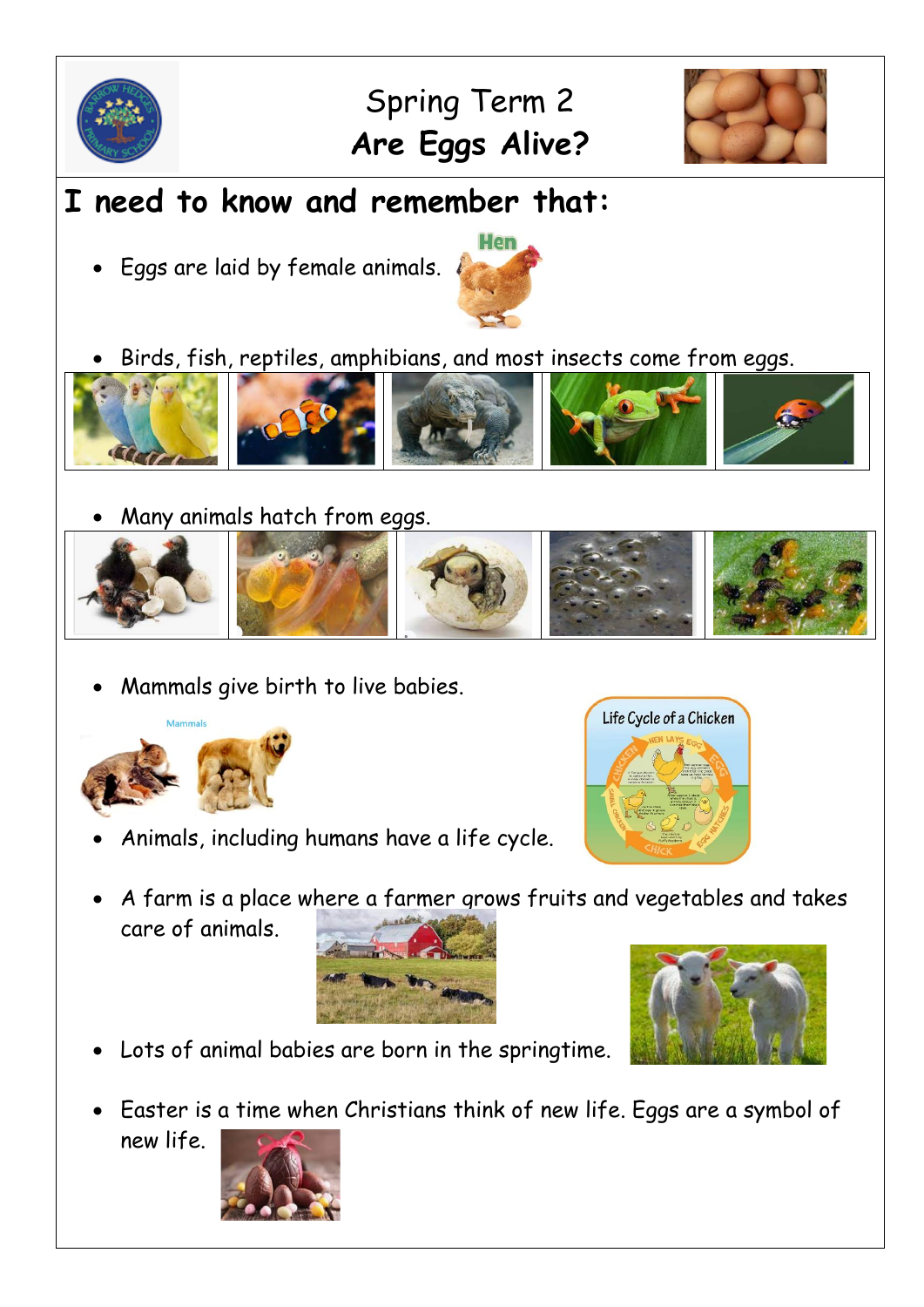

## Spring Term 2 **Are Eggs Alive?**



## **I need to know and remember that:**

• Eggs are laid by female animals.



• Birds, fish, reptiles, amphibians, and most insects come from eggs.



• Many animals hatch from eggs.



• Mammals give birth to live babies.



• Animals, including humans have a life cycle.



• A farm is a place where a farmer grows fruits and vegetables and takes care of animals.





- Lots of animal babies are born in the springtime.
- Easter is a time when Christians think of new life. Eggs are a symbol of new life.